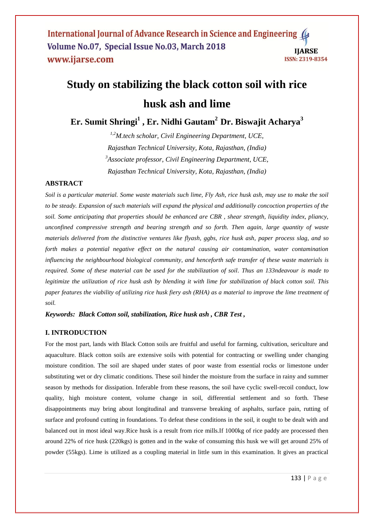International Journal of Advance Research in Science and Engineering ( Volume No.07, Special Issue No.03, March 2018 **IIARSE** www.ijarse.com ISSN: 2319-8354

# **Study on stabilizing the black cotton soil with rice husk ash and lime**

**Er. Sumit Shringi<sup>1</sup> , Er. Nidhi Gautam<sup>2</sup>Dr. Biswajit Acharya<sup>3</sup>**

*1,2M.tech scholar, Civil Engineering Department, UCE, Rajasthan Technical University, Kota, Rajasthan, (India) <sup>3</sup>Associate professor, Civil Engineering Department, UCE, Rajasthan Technical University, Kota, Rajasthan, (India)*

## **ABSTRACT**

*Soil is a particular material. Some waste materials such lime, Fly Ash, rice husk ash, may use to make the soil to be steady. Expansion of such materials will expand the physical and additionally concoction properties of the soil. Some anticipating that properties should be enhanced are CBR , shear strength, liquidity index, pliancy, unconfined compressive strength and bearing strength and so forth. Then again, large quantity of waste materials delivered from the distinctive ventures like flyash, ggbs, rice husk ash, paper process slag, and so forth makes a potential negative effect on the natural causing air contamination, water contamination influencing the neighbourhood biological community, and henceforth safe transfer of these waste materials is required. Some of these material can be used for the stabilization of soil. Thus an 133ndeavour is made to legitimize the utilization of rice husk ash by blending it with lime for stabilization of black cotton soil. This paper features the viability of utilizing rice husk fiery ash (RHA) as a material to improve the lime treatment of soil.*

*Keywords: Black Cotton soil, stabilization, Rice husk ash , CBR Test ,* 

## **I. INTRODUCTION**

For the most part, lands with Black Cotton soils are fruitful and useful for farming, cultivation, sericulture and aquaculture. Black cotton soils are extensive soils with potential for contracting or swelling under changing moisture condition. The soil are shaped under states of poor waste from essential rocks or limestone under substituting wet or dry climatic conditions. These soil hinder the moisture from the surface in rainy and summer season by methods for dissipation. Inferable from these reasons, the soil have cyclic swell-recoil conduct, low quality, high moisture content, volume change in soil, differential settlement and so forth. These disappointments may bring about longitudinal and transverse breaking of asphalts, surface pain, rutting of surface and profound cutting in foundations. To defeat these conditions in the soil, it ought to be dealt with and balanced out in most ideal way.Rice husk is a result from rice mills.If 1000kg of rice paddy are processed then around 22% of rice husk (220kgs) is gotten and in the wake of consuming this husk we will get around 25% of powder (55kgs). Lime is utilized as a coupling material in little sum in this examination. It gives an practical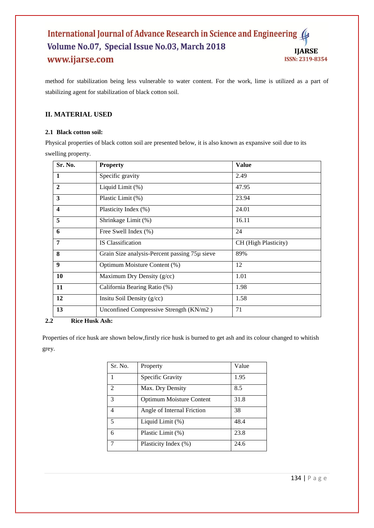#### International Journal of Advance Research in Science and Engineering Volume No.07, Special Issue No.03, March 2018 **IJARSE** www.ijarse.com ISSN: 2319-8354

method for stabilization being less vulnerable to water content. For the work, lime is utilized as a part of stabilizing agent for stabilization of black cotton soil.

## **II. MATERIAL USED**

## **2.1 Black cotton soil:**

Physical properties of black cotton soil are presented below, it is also known as expansive soil due to its swelling property.

| Sr. No.                 | <b>Property</b>                               | <b>Value</b>         |
|-------------------------|-----------------------------------------------|----------------------|
| 1                       | Specific gravity                              | 2.49                 |
| $\mathbf{2}$            | Liquid Limit (%)                              | 47.95                |
| $\mathbf{3}$            | Plastic Limit (%)                             | 23.94                |
| $\overline{\mathbf{4}}$ | Plasticity Index (%)                          | 24.01                |
| 5                       | Shrinkage Limit (%)                           | 16.11                |
| 6                       | Free Swell Index (%)                          | 24                   |
| 7                       | <b>IS</b> Classification                      | CH (High Plasticity) |
| 8                       | Grain Size analysis-Percent passing 75µ sieve | 89%                  |
| 9                       | Optimum Moisture Content (%)                  | 12                   |
| 10                      | Maximum Dry Density (g/cc)                    | 1.01                 |
| 11                      | California Bearing Ratio (%)                  | 1.98                 |
| 12                      | Insitu Soil Density $(g/cc)$                  | 1.58                 |
| 13                      | Unconfined Compressive Strength (KN/m2)       | 71                   |

## **2.2 Rice Husk Ash:**

Properties of rice husk are shown below,firstly rice husk is burned to get ash and its colour changed to whitish grey.

| Sr. No.        | Property                        | Value |
|----------------|---------------------------------|-------|
| 1              | Specific Gravity                | 1.95  |
| $\mathfrak{D}$ | Max. Dry Density                | 8.5   |
| 3              | <b>Optimum Moisture Content</b> | 31.8  |
| 4              | Angle of Internal Friction      | 38    |
| 5              | Liquid Limit $(\%)$             | 48.4  |
| 6              | Plastic Limit (%)               | 23.8  |
|                | Plasticity Index (%)            | 24.6  |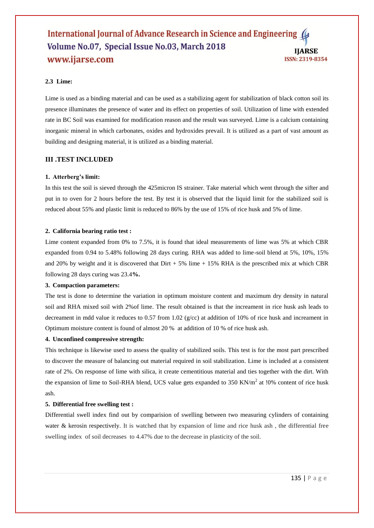#### International Journal of Advance Research in Science and Engineering Volume No.07, Special Issue No.03, March 2018 **IIARSE** www.ijarse.com **ISSN: 2319-8354**

### **2.3 Lime:**

Lime is used as a binding material and can be used as a stabilizing agent for stabilization of black cotton soil its presence illuminates the presence of water and its effect on properties of soil. Utilization of lime with extended rate in BC Soil was examined for modification reason and the result was surveyed. Lime is a calcium containing inorganic mineral in which carbonates, oxides and hydroxides prevail. It is utilized as a part of vast amount as building and designing material, it is utilized as a binding material.

#### **III .TEST INCLUDED**

#### **1. Atterberg's limit:**

In this test the soil is sieved through the 425micron IS strainer. Take material which went through the sifter and put in to oven for 2 hours before the test. By test it is observed that the liquid limit for the stabilized soil is reduced about 55% and plastic limit is reduced to 86% by the use of 15% of rice husk and 5% of lime.

#### **2. California bearing ratio test :**

Lime content expanded from 0% to 7.5%, it is found that ideal measurements of lime was 5% at which CBR expanded from 0.94 to 5.48% following 28 days curing. RHA was added to lime-soil blend at 5%, 10%, 15% and 20% by weight and it is discovered that  $_{\text{Dirt}} + 5\%$  lime + 15% RHA is the prescribed mix at which CBR following 28 days curing was 23.4**%.**

#### **3. Compaction parameters:**

The test is done to determine the variation in optimum moisture content and maximum dry density in natural soil and RHA mixed soil with 2%of lime. The result obtained is that the increament in rice husk ash leads to decreament in mdd value it reduces to 0.57 from 1.02 (g/cc) at addition of 10% of rice husk and increament in Optimum moisture content is found of almost 20 % at addition of 10 % of rice husk ash.

#### **4. Unconfined compressive strength:**

This technique is likewise used to assess the quality of stabilized soils. This test is for the most part prescribed to discover the measure of balancing out material required in soil stabilization. Lime is included at a consistent rate of 2%. On response of lime with silica, it create cementitious material and ties together with the dirt. With the expansion of lime to Soil-RHA blend, UCS value gets expanded to 350 KN/ $m<sup>2</sup>$  at 10% content of rice husk ash.

#### **5. Differential free swelling test :**

Differential swell index find out by comparision of swelling between two measuring cylinders of containing water & kerosin respectively. It is watched that by expansion of lime and rice husk ash, the differential free swelling index of soil decreases to 4.47% due to the decrease in plasticity of the soil.